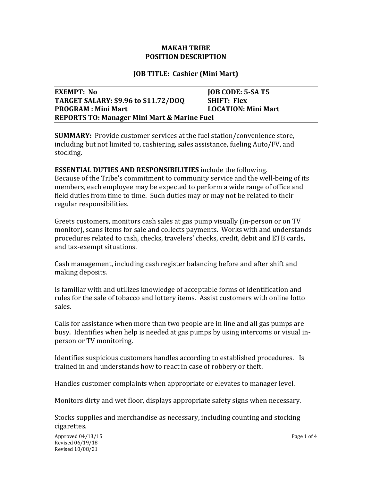### **MAKAH TRIBE POSITION DESCRIPTION**

### **JOB TITLE: Cashier (Mini Mart)**

| EXEMPT: No                                             | <b>JOB CODE: 5-SA T5</b>   |
|--------------------------------------------------------|----------------------------|
| <b>TARGET SALARY: \$9.96 to \$11.72/DOQ</b>            | <b>SHIFT: Flex</b>         |
| <b>PROGRAM</b> : Mini Mart                             | <b>LOCATION: Mini Mart</b> |
| <b>REPORTS TO: Manager Mini Mart &amp; Marine Fuel</b> |                            |

**SUMMARY:** Provide customer services at the fuel station/convenience store, including but not limited to, cashiering, sales assistance, fueling Auto/FV, and stocking.

**ESSENTIAL DUTIES AND RESPONSIBILITIES** include the following. Because of the Tribe's commitment to community service and the well-being of its members, each employee may be expected to perform a wide range of office and field duties from time to time. Such duties may or may not be related to their regular responsibilities.

Greets customers, monitors cash sales at gas pump visually (in-person or on TV monitor), scans items for sale and collects payments. Works with and understands procedures related to cash, checks, travelers' checks, credit, debit and ETB cards, and tax-exempt situations.

Cash management, including cash register balancing before and after shift and making deposits.

Is familiar with and utilizes knowledge of acceptable forms of identification and rules for the sale of tobacco and lottery items. Assist customers with online lotto sales.

Calls for assistance when more than two people are in line and all gas pumps are busy. Identifies when help is needed at gas pumps by using intercoms or visual inperson or TV monitoring.

Identifies suspicious customers handles according to established procedures. Is trained in and understands how to react in case of robbery or theft.

Handles customer complaints when appropriate or elevates to manager level.

Monitors dirty and wet floor, displays appropriate safety signs when necessary.

Stocks supplies and merchandise as necessary, including counting and stocking cigarettes.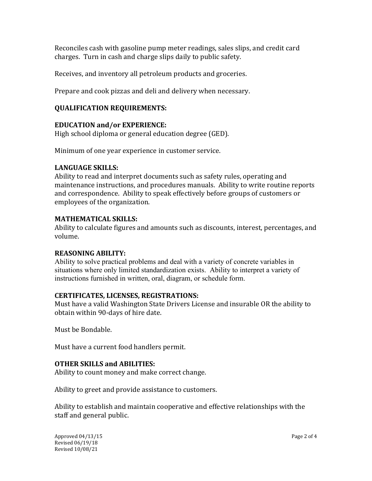Reconciles cash with gasoline pump meter readings, sales slips, and credit card charges. Turn in cash and charge slips daily to public safety.

Receives, and inventory all petroleum products and groceries.

Prepare and cook pizzas and deli and delivery when necessary.

# **QUALIFICATION REQUIREMENTS:**

# **EDUCATION and/or EXPERIENCE:**

High school diploma or general education degree (GED).

Minimum of one year experience in customer service.

# **LANGUAGE SKILLS:**

Ability to read and interpret documents such as safety rules, operating and maintenance instructions, and procedures manuals. Ability to write routine reports and correspondence. Ability to speak effectively before groups of customers or employees of the organization.

# **MATHEMATICAL SKILLS:**

Ability to calculate figures and amounts such as discounts, interest, percentages, and volume.

## **REASONING ABILITY:**

Ability to solve practical problems and deal with a variety of concrete variables in situations where only limited standardization exists. Ability to interpret a variety of instructions furnished in written, oral, diagram, or schedule form.

# **CERTIFICATES, LICENSES, REGISTRATIONS:**

Must have a valid Washington State Drivers License and insurable OR the ability to obtain within 90-days of hire date.

Must be Bondable.

Must have a current food handlers permit.

# **OTHER SKILLS and ABILITIES:**

Ability to count money and make correct change.

Ability to greet and provide assistance to customers.

Ability to establish and maintain cooperative and effective relationships with the staff and general public.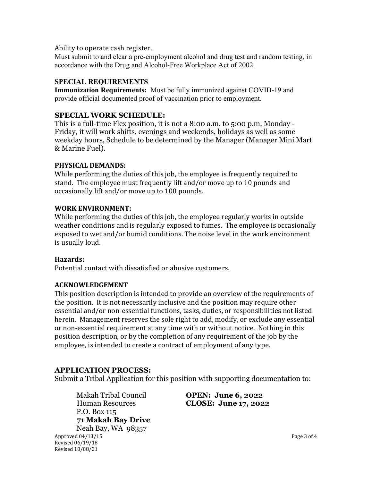#### Ability to operate cash register.

Must submit to and clear a pre-employment alcohol and drug test and random testing, in accordance with the Drug and Alcohol-Free Workplace Act of 2002.

### **SPECIAL REQUIREMENTS**

**Immunization Requirements:** Must be fully immunized against COVID-19 and provide official documented proof of vaccination prior to employment.

## **SPECIAL WORK SCHEDULE:**

This is a full-time Flex position, it is not a 8:00 a.m. to 5:00 p.m. Monday - Friday, it will work shifts, evenings and weekends, holidays as well as some weekday hours, Schedule to be determined by the Manager (Manager Mini Mart & Marine Fuel).

#### **PHYSICAL DEMANDS:**

While performing the duties of this job, the employee is frequently required to stand. The employee must frequently lift and/or move up to 10 pounds and occasionally lift and/or move up to 100 pounds.

#### **WORK ENVIRONMENT:**

While performing the duties of this job, the employee regularly works in outside weather conditions and is regularly exposed to fumes. The employee is occasionally exposed to wet and/or humid conditions. The noise level in the work environment is usually loud.

#### **Hazards:**

Potential contact with dissatisfied or abusive customers.

#### **ACKNOWLEDGEMENT**

This position description is intended to provide an overview of the requirements of the position. It is not necessarily inclusive and the position may require other essential and/or non-essential functions, tasks, duties, or responsibilities not listed herein. Management reserves the sole right to add, modify, or exclude any essential or non-essential requirement at any time with or without notice. Nothing in this position description, or by the completion of any requirement of the job by the employee, is intended to create a contract of employment of any type.

#### **APPLICATION PROCESS:**

Revised 06/19/18 Revised 10/08/21

Submit a Tribal Application for this position with supporting documentation to:

Makah Tribal Council **OPEN: June 6, 2022** P.O. Box 115 **71 Makah Bay Drive**  Neah Bay, WA 98357

Human Resources **CLOSE: June 17, 2022**